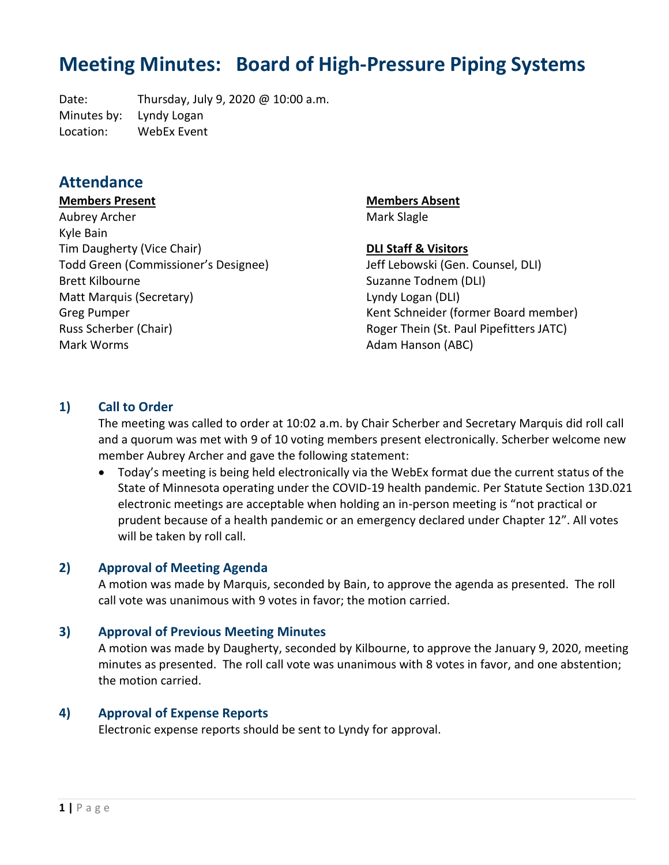# **Meeting Minutes: Board of High-Pressure Piping Systems**

Date: Thursday, July 9, 2020 @ 10:00 a.m. Minutes by: Lyndy Logan Location: WebEx Event

# **Attendance**

#### **Members Present**

Aubrey Archer Kyle Bain Tim Daugherty (Vice Chair) Todd Green (Commissioner's Designee) Brett Kilbourne Matt Marquis (Secretary) Greg Pumper Russ Scherber (Chair) Mark Worms

**Members Absent** Mark Slagle

# **DLI Staff & Visitors**

Jeff Lebowski (Gen. Counsel, DLI) Suzanne Todnem (DLI) Lyndy Logan (DLI) Kent Schneider (former Board member) Roger Thein (St. Paul Pipefitters JATC) Adam Hanson (ABC)

## **1) Call to Order**

The meeting was called to order at 10:02 a.m. by Chair Scherber and Secretary Marquis did roll call and a quorum was met with 9 of 10 voting members present electronically. Scherber welcome new member Aubrey Archer and gave the following statement:

• Today's meeting is being held electronically via the WebEx format due the current status of the State of Minnesota operating under the COVID-19 health pandemic. Per Statute Section 13D.021 electronic meetings are acceptable when holding an in-person meeting is "not practical or prudent because of a health pandemic or an emergency declared under Chapter 12". All votes will be taken by roll call.

#### **2) Approval of Meeting Agenda**

A motion was made by Marquis, seconded by Bain, to approve the agenda as presented. The roll call vote was unanimous with 9 votes in favor; the motion carried.

#### **3) Approval of Previous Meeting Minutes**

A motion was made by Daugherty, seconded by Kilbourne, to approve the January 9, 2020, meeting minutes as presented. The roll call vote was unanimous with 8 votes in favor, and one abstention; the motion carried.

#### **4) Approval of Expense Reports**

Electronic expense reports should be sent to Lyndy for approval.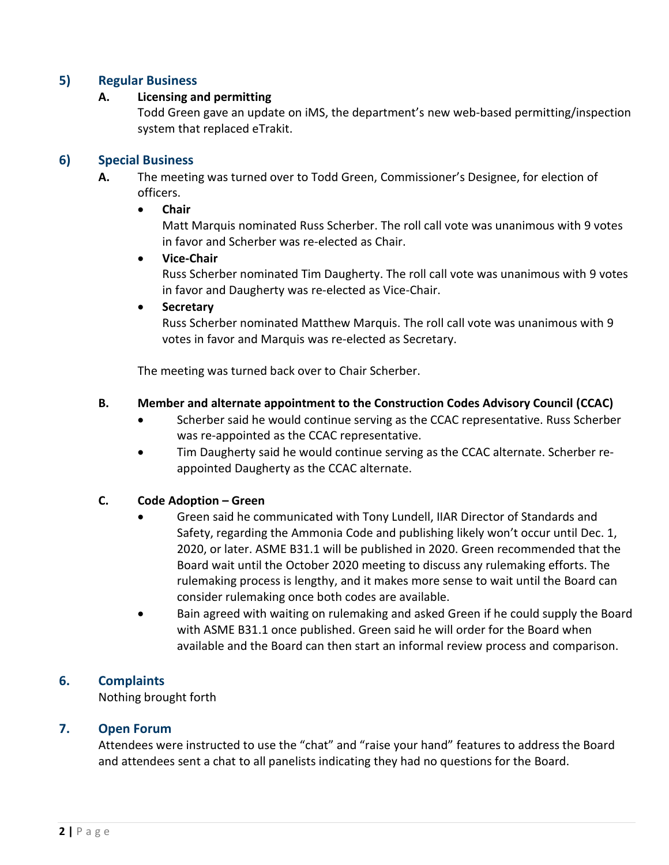# **5) Regular Business**

## **A. Licensing and permitting**

Todd Green gave an update on iMS, the department's new web-based permitting/inspection system that replaced eTrakit.

# **6) Special Business**

**A.** The meeting was turned over to Todd Green, Commissioner's Designee, for election of officers.

## • **Chair**

Matt Marquis nominated Russ Scherber. The roll call vote was unanimous with 9 votes in favor and Scherber was re-elected as Chair.

## • **Vice-Chair**

Russ Scherber nominated Tim Daugherty. The roll call vote was unanimous with 9 votes in favor and Daugherty was re-elected as Vice-Chair.

## • **Secretary**

Russ Scherber nominated Matthew Marquis. The roll call vote was unanimous with 9 votes in favor and Marquis was re-elected as Secretary.

The meeting was turned back over to Chair Scherber.

# **B. Member and alternate appointment to the Construction Codes Advisory Council (CCAC)**

- Scherber said he would continue serving as the CCAC representative. Russ Scherber was re-appointed as the CCAC representative.
- Tim Daugherty said he would continue serving as the CCAC alternate. Scherber reappointed Daugherty as the CCAC alternate.

# **C. Code Adoption – Green**

- Green said he communicated with Tony Lundell, IIAR Director of Standards and Safety, regarding the Ammonia Code and publishing likely won't occur until Dec. 1, 2020, or later. ASME B31.1 will be published in 2020. Green recommended that the Board wait until the October 2020 meeting to discuss any rulemaking efforts. The rulemaking process is lengthy, and it makes more sense to wait until the Board can consider rulemaking once both codes are available.
- Bain agreed with waiting on rulemaking and asked Green if he could supply the Board with ASME B31.1 once published. Green said he will order for the Board when available and the Board can then start an informal review process and comparison.

# **6. Complaints**

Nothing brought forth

#### **7. Open Forum**

Attendees were instructed to use the "chat" and "raise your hand" features to address the Board and attendees sent a chat to all panelists indicating they had no questions for the Board.